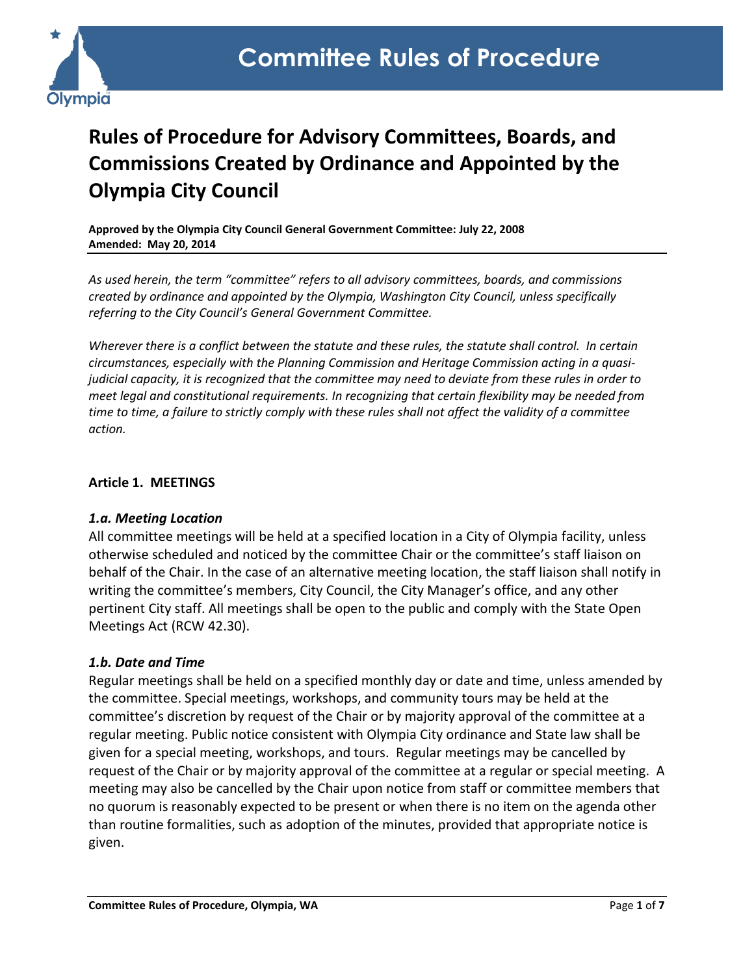

# **Rules of Procedure for Advisory Committees, Boards, and Commissions Created by Ordinance and Appointed by the Olympia City Council**

**Approved by the Olympia City Council General Government Committee: July 22, 2008 Amended: May 20, 2014**

*As used herein, the term "committee" refers to all advisory committees, boards, and commissions created by ordinance and appointed by the Olympia, Washington City Council, unless specifically referring to the City Council's General Government Committee.*

*Wherever there is a conflict between the statute and these rules, the statute shall control. In certain circumstances, especially with the Planning Commission and Heritage Commission acting in a quasijudicial capacity, it is recognized that the committee may need to deviate from these rules in order to meet legal and constitutional requirements. In recognizing that certain flexibility may be needed from time to time, a failure to strictly comply with these rules shall not affect the validity of a committee action.* 

#### **Article 1. MEETINGS**

#### *1.a. Meeting Location*

All committee meetings will be held at a specified location in a City of Olympia facility, unless otherwise scheduled and noticed by the committee Chair or the committee's staff liaison on behalf of the Chair. In the case of an alternative meeting location, the staff liaison shall notify in writing the committee's members, City Council, the City Manager's office, and any other pertinent City staff. All meetings shall be open to the public and comply with the State Open Meetings Act (RCW 42.30).

#### *1.b. Date and Time*

Regular meetings shall be held on a specified monthly day or date and time, unless amended by the committee. Special meetings, workshops, and community tours may be held at the committee's discretion by request of the Chair or by majority approval of the committee at a regular meeting. Public notice consistent with Olympia City ordinance and State law shall be given for a special meeting, workshops, and tours. Regular meetings may be cancelled by request of the Chair or by majority approval of the committee at a regular or special meeting. A meeting may also be cancelled by the Chair upon notice from staff or committee members that no quorum is reasonably expected to be present or when there is no item on the agenda other than routine formalities, such as adoption of the minutes, provided that appropriate notice is given.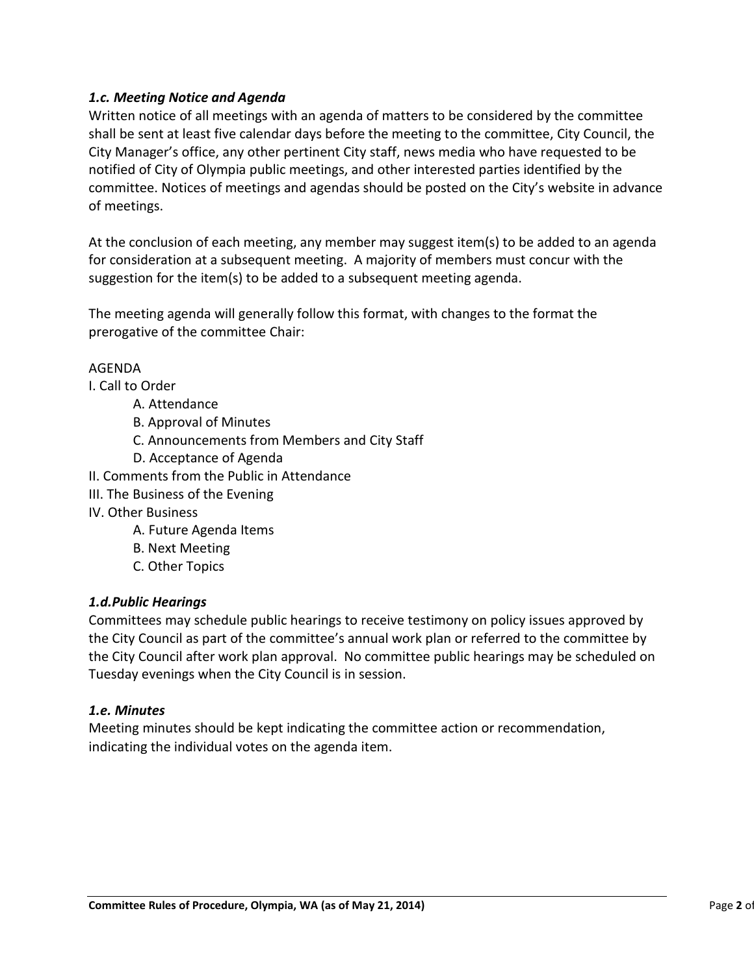## *1.c. Meeting Notice and Agenda*

Written notice of all meetings with an agenda of matters to be considered by the committee shall be sent at least five calendar days before the meeting to the committee, City Council, the City Manager's office, any other pertinent City staff, news media who have requested to be notified of City of Olympia public meetings, and other interested parties identified by the committee. Notices of meetings and agendas should be posted on the City's website in advance of meetings.

At the conclusion of each meeting, any member may suggest item(s) to be added to an agenda for consideration at a subsequent meeting. A majority of members must concur with the suggestion for the item(s) to be added to a subsequent meeting agenda.

The meeting agenda will generally follow this format, with changes to the format the prerogative of the committee Chair:

# AGENDA

I. Call to Order

- A. Attendance
- B. Approval of Minutes
- C. Announcements from Members and City Staff
- D. Acceptance of Agenda
- II. Comments from the Public in Attendance
- III. The Business of the Evening
- IV. Other Business
	- A. Future Agenda Items
	- B. Next Meeting
	- C. Other Topics

## *1.d.Public Hearings*

Committees may schedule public hearings to receive testimony on policy issues approved by the City Council as part of the committee's annual work plan or referred to the committee by the City Council after work plan approval. No committee public hearings may be scheduled on Tuesday evenings when the City Council is in session.

## *1.e. Minutes*

Meeting minutes should be kept indicating the committee action or recommendation, indicating the individual votes on the agenda item.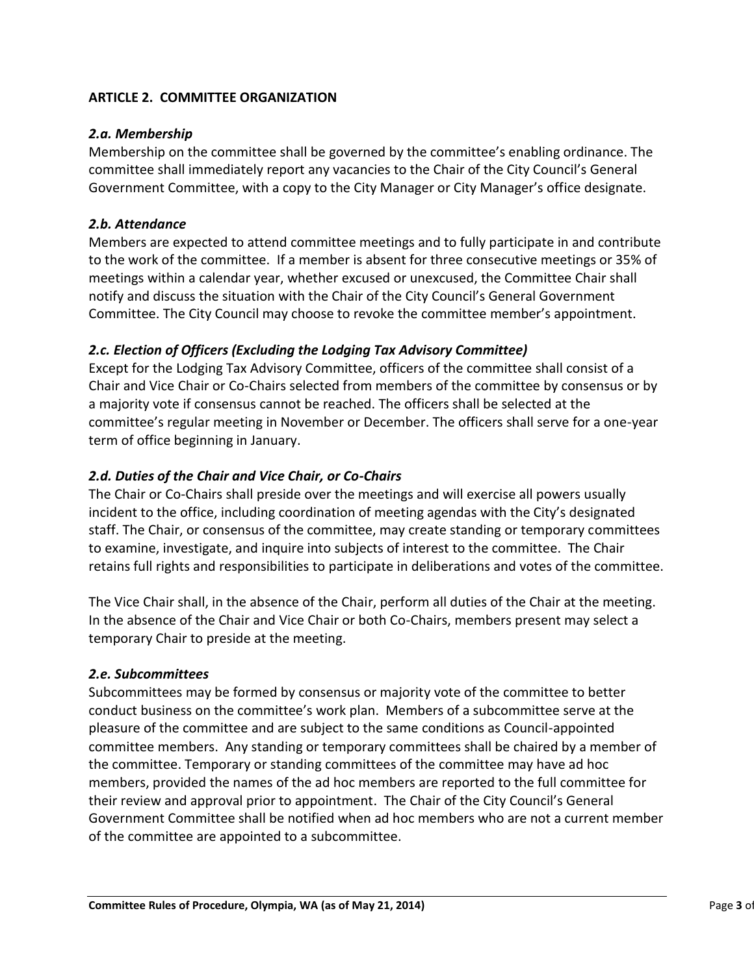## **ARTICLE 2. COMMITTEE ORGANIZATION**

#### *2.a. Membership*

Membership on the committee shall be governed by the committee's enabling ordinance. The committee shall immediately report any vacancies to the Chair of the City Council's General Government Committee, with a copy to the City Manager or City Manager's office designate.

#### *2.b. Attendance*

Members are expected to attend committee meetings and to fully participate in and contribute to the work of the committee. If a member is absent for three consecutive meetings or 35% of meetings within a calendar year, whether excused or unexcused, the Committee Chair shall notify and discuss the situation with the Chair of the City Council's General Government Committee. The City Council may choose to revoke the committee member's appointment.

#### *2.c. Election of Officers (Excluding the Lodging Tax Advisory Committee)*

Except for the Lodging Tax Advisory Committee, officers of the committee shall consist of a Chair and Vice Chair or Co-Chairs selected from members of the committee by consensus or by a majority vote if consensus cannot be reached. The officers shall be selected at the committee's regular meeting in November or December. The officers shall serve for a one-year term of office beginning in January.

## *2.d. Duties of the Chair and Vice Chair, or Co-Chairs*

The Chair or Co-Chairs shall preside over the meetings and will exercise all powers usually incident to the office, including coordination of meeting agendas with the City's designated staff. The Chair, or consensus of the committee, may create standing or temporary committees to examine, investigate, and inquire into subjects of interest to the committee. The Chair retains full rights and responsibilities to participate in deliberations and votes of the committee.

The Vice Chair shall, in the absence of the Chair, perform all duties of the Chair at the meeting. In the absence of the Chair and Vice Chair or both Co-Chairs, members present may select a temporary Chair to preside at the meeting.

#### *2.e. Subcommittees*

Subcommittees may be formed by consensus or majority vote of the committee to better conduct business on the committee's work plan. Members of a subcommittee serve at the pleasure of the committee and are subject to the same conditions as Council-appointed committee members. Any standing or temporary committees shall be chaired by a member of the committee. Temporary or standing committees of the committee may have ad hoc members, provided the names of the ad hoc members are reported to the full committee for their review and approval prior to appointment. The Chair of the City Council's General Government Committee shall be notified when ad hoc members who are not a current member of the committee are appointed to a subcommittee.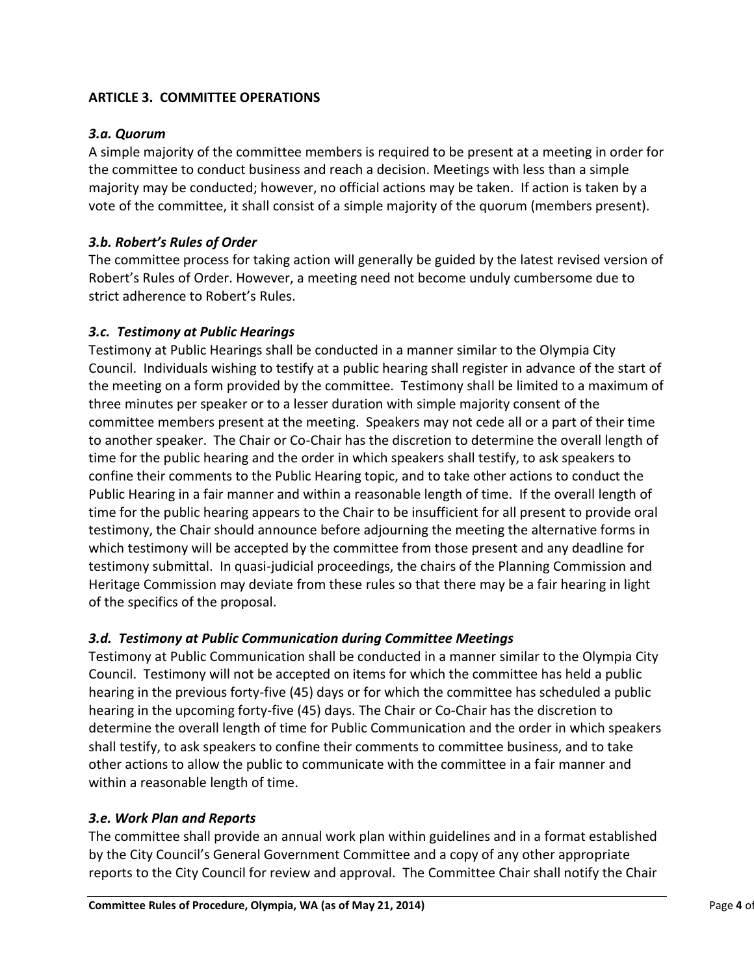# **ARTICLE 3. COMMITTEE OPERATIONS**

#### *3.a. Quorum*

A simple majority of the committee members is required to be present at a meeting in order for the committee to conduct business and reach a decision. Meetings with less than a simple majority may be conducted; however, no official actions may be taken. If action is taken by a vote of the committee, it shall consist of a simple majority of the quorum (members present).

## *3.b. Robert's Rules of Order*

The committee process for taking action will generally be guided by the latest revised version of Robert's Rules of Order. However, a meeting need not become unduly cumbersome due to strict adherence to Robert's Rules.

#### *3.c. Testimony at Public Hearings*

Testimony at Public Hearings shall be conducted in a manner similar to the Olympia City Council. Individuals wishing to testify at a public hearing shall register in advance of the start of the meeting on a form provided by the committee. Testimony shall be limited to a maximum of three minutes per speaker or to a lesser duration with simple majority consent of the committee members present at the meeting. Speakers may not cede all or a part of their time to another speaker. The Chair or Co-Chair has the discretion to determine the overall length of time for the public hearing and the order in which speakers shall testify, to ask speakers to confine their comments to the Public Hearing topic, and to take other actions to conduct the Public Hearing in a fair manner and within a reasonable length of time. If the overall length of time for the public hearing appears to the Chair to be insufficient for all present to provide oral testimony, the Chair should announce before adjourning the meeting the alternative forms in which testimony will be accepted by the committee from those present and any deadline for testimony submittal. In quasi-judicial proceedings, the chairs of the Planning Commission and Heritage Commission may deviate from these rules so that there may be a fair hearing in light of the specifics of the proposal.

## *3.d. Testimony at Public Communication during Committee Meetings*

Testimony at Public Communication shall be conducted in a manner similar to the Olympia City Council. Testimony will not be accepted on items for which the committee has held a public hearing in the previous forty-five (45) days or for which the committee has scheduled a public hearing in the upcoming forty-five (45) days. The Chair or Co-Chair has the discretion to determine the overall length of time for Public Communication and the order in which speakers shall testify, to ask speakers to confine their comments to committee business, and to take other actions to allow the public to communicate with the committee in a fair manner and within a reasonable length of time.

#### *3.e. Work Plan and Reports*

The committee shall provide an annual work plan within guidelines and in a format established by the City Council's General Government Committee and a copy of any other appropriate reports to the City Council for review and approval. The Committee Chair shall notify the Chair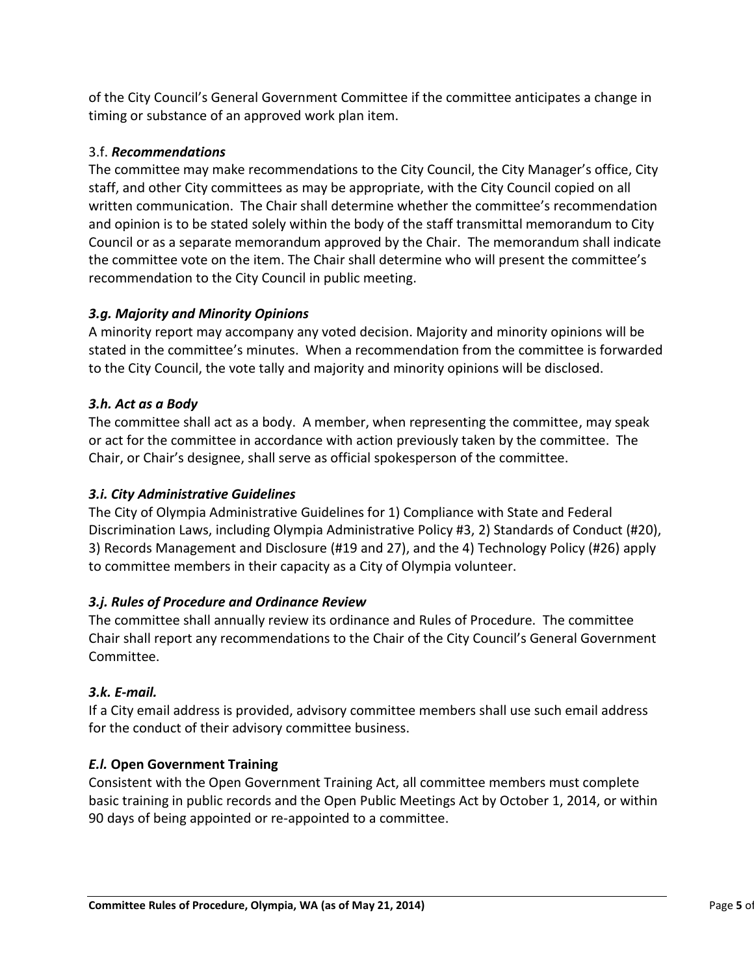of the City Council's General Government Committee if the committee anticipates a change in timing or substance of an approved work plan item.

# 3.f. *Recommendations*

The committee may make recommendations to the City Council, the City Manager's office, City staff, and other City committees as may be appropriate, with the City Council copied on all written communication. The Chair shall determine whether the committee's recommendation and opinion is to be stated solely within the body of the staff transmittal memorandum to City Council or as a separate memorandum approved by the Chair. The memorandum shall indicate the committee vote on the item. The Chair shall determine who will present the committee's recommendation to the City Council in public meeting.

# *3.g. Majority and Minority Opinions*

A minority report may accompany any voted decision. Majority and minority opinions will be stated in the committee's minutes. When a recommendation from the committee is forwarded to the City Council, the vote tally and majority and minority opinions will be disclosed.

## *3.h. Act as a Body*

The committee shall act as a body. A member, when representing the committee, may speak or act for the committee in accordance with action previously taken by the committee. The Chair, or Chair's designee, shall serve as official spokesperson of the committee.

# *3.i. City Administrative Guidelines*

The City of Olympia Administrative Guidelines for 1) Compliance with State and Federal Discrimination Laws, including Olympia Administrative Policy #3, 2) Standards of Conduct (#20), 3) Records Management and Disclosure (#19 and 27), and the 4) Technology Policy (#26) apply to committee members in their capacity as a City of Olympia volunteer.

# *3.j. Rules of Procedure and Ordinance Review*

The committee shall annually review its ordinance and Rules of Procedure. The committee Chair shall report any recommendations to the Chair of the City Council's General Government Committee.

## *3.k. E-mail.*

If a City email address is provided, advisory committee members shall use such email address for the conduct of their advisory committee business.

## *E.l.* **Open Government Training**

Consistent with the Open Government Training Act, all committee members must complete basic training in public records and the Open Public Meetings Act by October 1, 2014, or within 90 days of being appointed or re-appointed to a committee.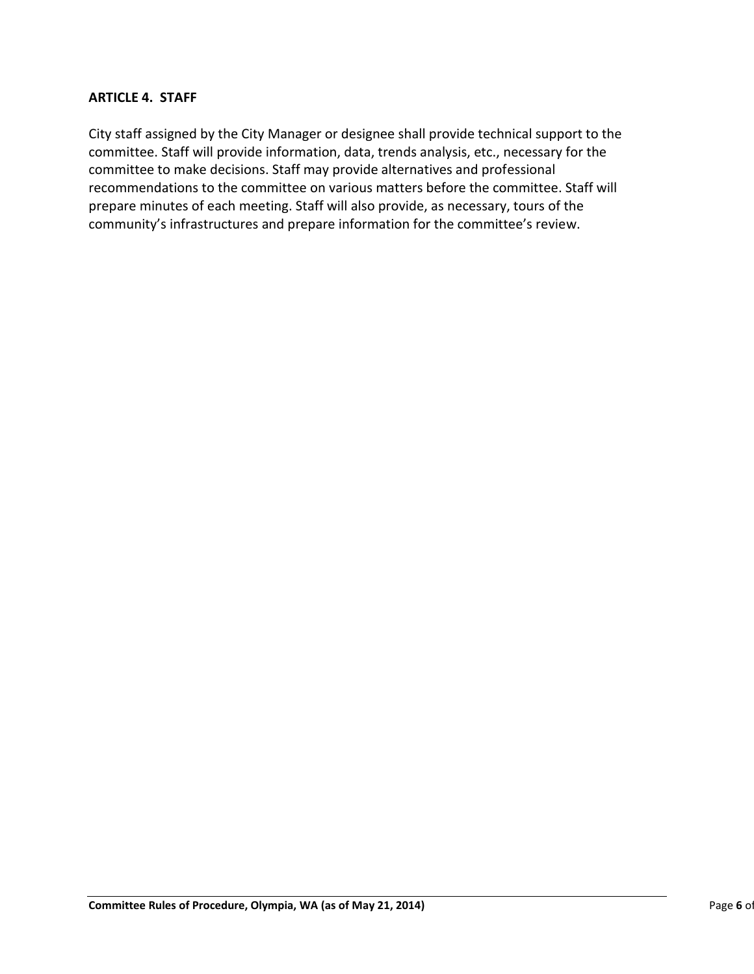#### **ARTICLE 4. STAFF**

City staff assigned by the City Manager or designee shall provide technical support to the committee. Staff will provide information, data, trends analysis, etc., necessary for the committee to make decisions. Staff may provide alternatives and professional recommendations to the committee on various matters before the committee. Staff will prepare minutes of each meeting. Staff will also provide, as necessary, tours of the community's infrastructures and prepare information for the committee's review.